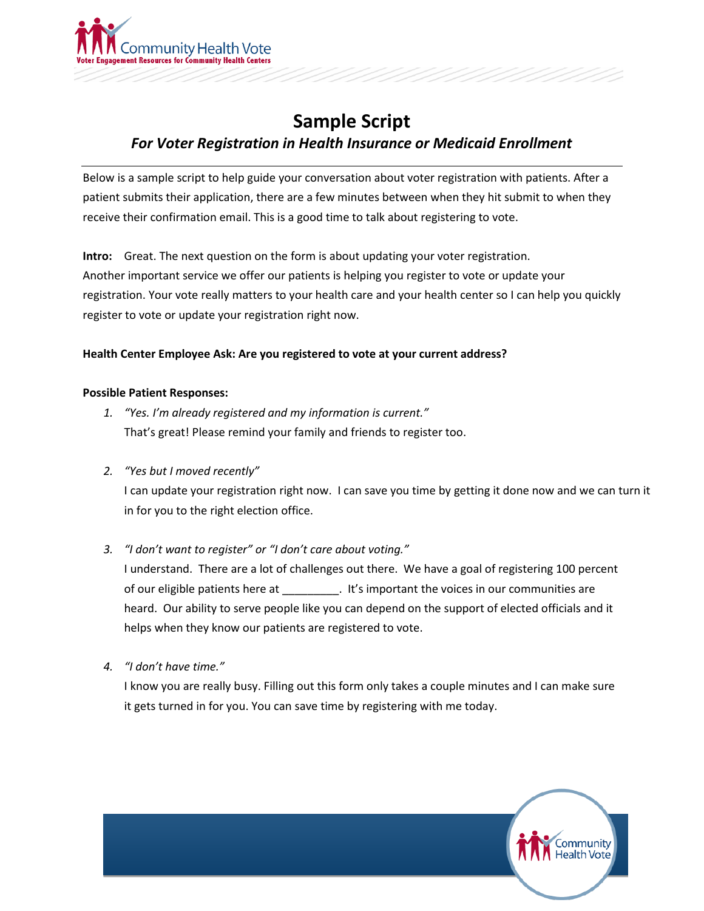

## **Sample Script** *For Voter Registration in Health Insurance or Medicaid Enrollment*

Below is a sample script to help guide your conversation about voter registration with patients. After a patient submits their application, there are a few minutes between when they hit submit to when they receive their confirmation email. This is a good time to talk about registering to vote.

**Intro:** Great. The next question on the form is about updating your voter registration. Another important service we offer our patients is helping you register to vote or update your registration. Your vote really matters to your health care and your health center so I can help you quickly register to vote or update your registration right now.

## **Health Center Employee Ask: Are you registered to vote at your current address?**

## **Possible Patient Responses:**

- *1. "Yes. I'm already registered and my information is current."* That's great! Please remind your family and friends to register too.
- *2. "Yes but I moved recently"*

I can update your registration right now. I can save you time by getting it done now and we can turn it in for you to the right election office.

*3. "I don't want to register" or "I don't care about voting."*

I understand. There are a lot of challenges out there. We have a goal of registering 100 percent of our eligible patients here at \_\_\_\_\_\_\_\_\_. It's important the voices in our communities are heard. Our ability to serve people like you can depend on the support of elected officials and it helps when they know our patients are registered to vote.

*4. "I don't have time."*

I know you are really busy. Filling out this form only takes a couple minutes and I can make sure it gets turned in for you. You can save time by registering with me today.